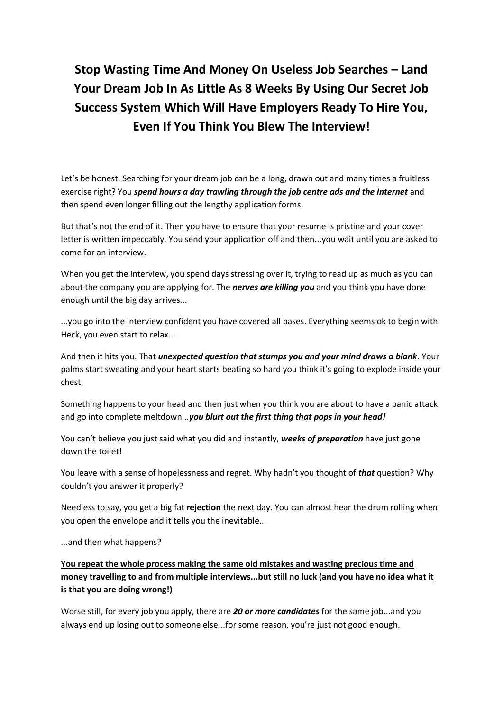# **Stop Wasting Time And Money On Useless Job Searches – Land Your Dream Job In As Little As 8 Weeks By Using Our Secret Job Success System Which Will Have Employers Ready To Hire You, Even If You Think You Blew The Interview!**

Let's be honest. Searching for your dream job can be a long, drawn out and many times a fruitless exercise right? You *spend hours a day trawling through the job centre ads and the Internet* and then spend even longer filling out the lengthy application forms.

But that's not the end of it. Then you have to ensure that your resume is pristine and your cover letter is written impeccably. You send your application off and then...you wait until you are asked to come for an interview.

When you get the interview, you spend days stressing over it, trying to read up as much as you can about the company you are applying for. The *nerves are killing you* and you think you have done enough until the big day arrives...

...you go into the interview confident you have covered all bases. Everything seems ok to begin with. Heck, you even start to relax...

And then it hits you. That *unexpected question that stumps you and your mind draws a blank*. Your palms start sweating and your heart starts beating so hard you think it's going to explode inside your chest.

Something happens to your head and then just when you think you are about to have a panic attack and go into complete meltdown...*you blurt out the first thing that pops in your head!*

You can't believe you just said what you did and instantly, *weeks of preparation* have just gone down the toilet!

You leave with a sense of hopelessness and regret. Why hadn't you thought of *that* question? Why couldn't you answer it properly?

Needless to say, you get a big fat **rejection** the next day. You can almost hear the drum rolling when you open the envelope and it tells you the inevitable...

...and then what happens?

**You repeat the whole process making the same old mistakes and wasting precious time and money travelling to and from multiple interviews...but still no luck (and you have no idea what it is that you are doing wrong!)**

Worse still, for every job you apply, there are *20 or more candidates* for the same job...and you always end up losing out to someone else...for some reason, you're just not good enough.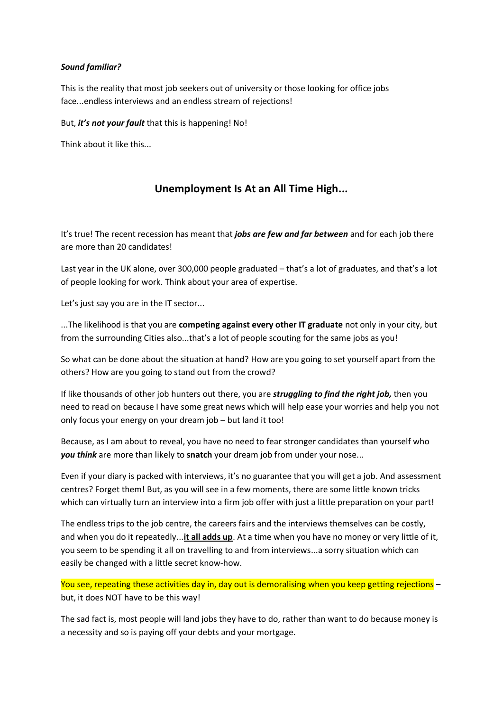#### *Sound familiar?*

This is the reality that most job seekers out of university or those looking for office jobs face...endless interviews and an endless stream of rejections!

But, *it's not your fault* that this is happening! No!

Think about it like this...

### **Unemployment Is At an All Time High...**

It's true! The recent recession has meant that *jobs are few and far between* and for each job there are more than 20 candidates!

Last year in the UK alone, over 300,000 people graduated – that's a lot of graduates, and that's a lot of people looking for work. Think about your area of expertise.

Let's just say you are in the IT sector...

...The likelihood is that you are **competing against every other IT graduate** not only in your city, but from the surrounding Cities also...that's a lot of people scouting for the same jobs as you!

So what can be done about the situation at hand? How are you going to set yourself apart from the others? How are you going to stand out from the crowd?

If like thousands of other job hunters out there, you are *struggling to find the right job,* then you need to read on because I have some great news which will help ease your worries and help you not only focus your energy on your dream job – but land it too!

Because, as I am about to reveal, you have no need to fear stronger candidates than yourself who *you think* are more than likely to **snatch** your dream job from under your nose...

Even if your diary is packed with interviews, it's no guarantee that you will get a job. And assessment centres? Forget them! But, as you will see in a few moments, there are some little known tricks which can virtually turn an interview into a firm job offer with just a little preparation on your part!

The endless trips to the job centre, the careers fairs and the interviews themselves can be costly, and when you do it repeatedly...**it all adds up**. At a time when you have no money or very little of it, you seem to be spending it all on travelling to and from interviews...a sorry situation which can easily be changed with a little secret know-how.

You see, repeating these activities day in, day out is demoralising when you keep getting rejections but, it does NOT have to be this way!

The sad fact is, most people will land jobs they have to do, rather than want to do because money is a necessity and so is paying off your debts and your mortgage.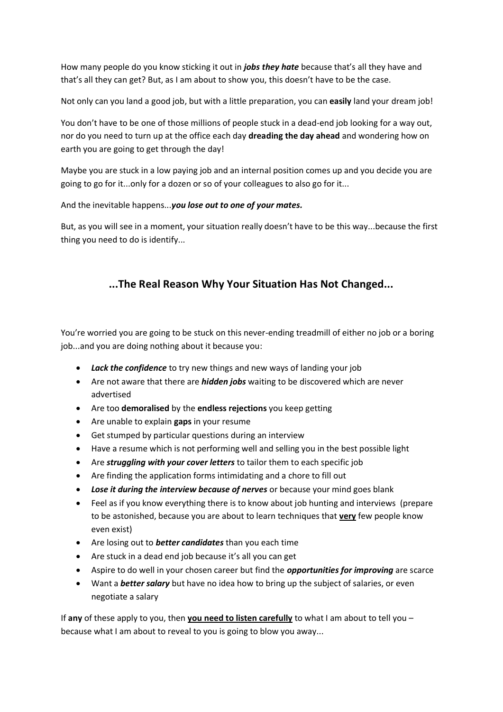How many people do you know sticking it out in *jobs they hate* because that's all they have and that's all they can get? But, as I am about to show you, this doesn't have to be the case.

Not only can you land a good job, but with a little preparation, you can **easily** land your dream job!

You don't have to be one of those millions of people stuck in a dead-end job looking for a way out, nor do you need to turn up at the office each day **dreading the day ahead** and wondering how on earth you are going to get through the day!

Maybe you are stuck in a low paying job and an internal position comes up and you decide you are going to go for it...only for a dozen or so of your colleagues to also go for it...

And the inevitable happens...*you lose out to one of your mates.*

But, as you will see in a moment, your situation really doesn't have to be this way...because the first thing you need to do is identify...

# **...The Real Reason Why Your Situation Has Not Changed...**

You're worried you are going to be stuck on this never-ending treadmill of either no job or a boring job...and you are doing nothing about it because you:

- *Lack the confidence* to try new things and new ways of landing your job
- Are not aware that there are *hidden jobs* waiting to be discovered which are never advertised
- Are too **demoralised** by the **endless rejections** you keep getting
- Are unable to explain **gaps** in your resume
- Get stumped by particular questions during an interview
- Have a resume which is not performing well and selling you in the best possible light
- Are *struggling with your cover letters* to tailor them to each specific job
- Are finding the application forms intimidating and a chore to fill out
- *Lose it during the interview because of nerves* or because your mind goes blank
- Feel as if you know everything there is to know about job hunting and interviews (prepare to be astonished, because you are about to learn techniques that **very** few people know even exist)
- Are losing out to *better candidates* than you each time
- Are stuck in a dead end job because it's all you can get
- Aspire to do well in your chosen career but find the *opportunities for improving* are scarce
- Want a *better salary* but have no idea how to bring up the subject of salaries, or even negotiate a salary

If **any** of these apply to you, then **you need to listen carefully** to what I am about to tell you – because what I am about to reveal to you is going to blow you away...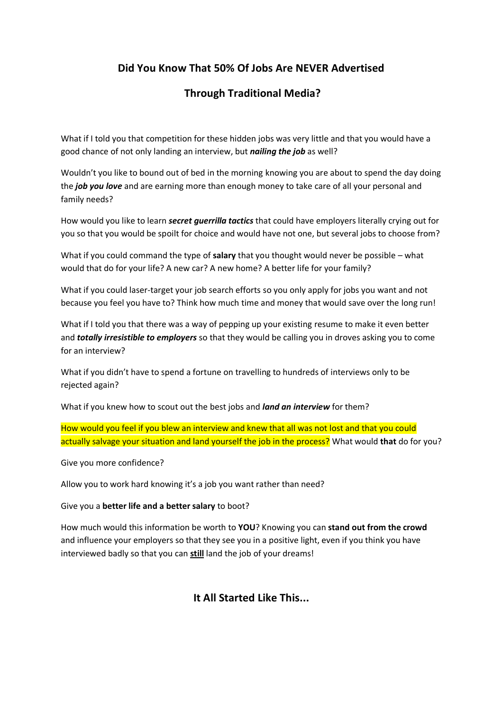### **Did You Know That 50% Of Jobs Are NEVER Advertised**

### **Through Traditional Media?**

What if I told you that competition for these hidden jobs was very little and that you would have a good chance of not only landing an interview, but *nailing the job* as well?

Wouldn't you like to bound out of bed in the morning knowing you are about to spend the day doing the *job you love* and are earning more than enough money to take care of all your personal and family needs?

How would you like to learn *secret guerrilla tactics* that could have employers literally crying out for you so that you would be spoilt for choice and would have not one, but several jobs to choose from?

What if you could command the type of **salary** that you thought would never be possible – what would that do for your life? A new car? A new home? A better life for your family?

What if you could laser-target your job search efforts so you only apply for jobs you want and not because you feel you have to? Think how much time and money that would save over the long run!

What if I told you that there was a way of pepping up your existing resume to make it even better and *totally irresistible to employers* so that they would be calling you in droves asking you to come for an interview?

What if you didn't have to spend a fortune on travelling to hundreds of interviews only to be rejected again?

What if you knew how to scout out the best jobs and *land an interview* for them?

How would you feel if you blew an interview and knew that all was not lost and that you could actually salvage your situation and land yourself the job in the process? What would **that** do for you?

Give you more confidence?

Allow you to work hard knowing it's a job you want rather than need?

Give you a **better life and a better salary** to boot?

How much would this information be worth to **YOU**? Knowing you can **stand out from the crowd** and influence your employers so that they see you in a positive light, even if you think you have interviewed badly so that you can **still** land the job of your dreams!

**It All Started Like This...**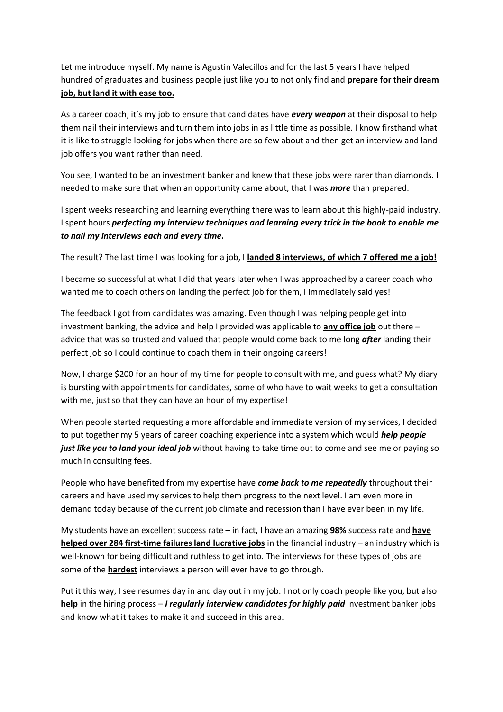Let me introduce myself. My name is Agustin Valecillos and for the last 5 years I have helped hundred of graduates and business people just like you to not only find and **prepare for their dream job, but land it with ease too.**

As a career coach, it's my job to ensure that candidates have *every weapon* at their disposal to help them nail their interviews and turn them into jobs in as little time as possible. I know firsthand what it is like to struggle looking for jobs when there are so few about and then get an interview and land job offers you want rather than need.

You see, I wanted to be an investment banker and knew that these jobs were rarer than diamonds. I needed to make sure that when an opportunity came about, that I was *more* than prepared.

I spent weeks researching and learning everything there was to learn about this highly-paid industry. I spent hours *perfecting my interview techniques and learning every trick in the book to enable me to nail my interviews each and every time.*

The result? The last time I was looking for a job, I **landed 8 interviews, of which 7 offered me a job!**

I became so successful at what I did that years later when I was approached by a career coach who wanted me to coach others on landing the perfect job for them, I immediately said yes!

The feedback I got from candidates was amazing. Even though I was helping people get into investment banking, the advice and help I provided was applicable to **any office job** out there – advice that was so trusted and valued that people would come back to me long *after* landing their perfect job so I could continue to coach them in their ongoing careers!

Now, I charge \$200 for an hour of my time for people to consult with me, and guess what? My diary is bursting with appointments for candidates, some of who have to wait weeks to get a consultation with me, just so that they can have an hour of my expertise!

When people started requesting a more affordable and immediate version of my services, I decided to put together my 5 years of career coaching experience into a system which would *help people just like you to land your ideal job* without having to take time out to come and see me or paying so much in consulting fees.

People who have benefited from my expertise have *come back to me repeatedly* throughout their careers and have used my services to help them progress to the next level. I am even more in demand today because of the current job climate and recession than I have ever been in my life.

My students have an excellent success rate – in fact, I have an amazing **98%** success rate and **have helped over 284 first-time failures land lucrative jobs** in the financial industry – an industry which is well-known for being difficult and ruthless to get into. The interviews for these types of jobs are some of the **hardest** interviews a person will ever have to go through.

Put it this way, I see resumes day in and day out in my job. I not only coach people like you, but also **help** in the hiring process – *I regularly interview candidates for highly paid* investment banker jobs and know what it takes to make it and succeed in this area.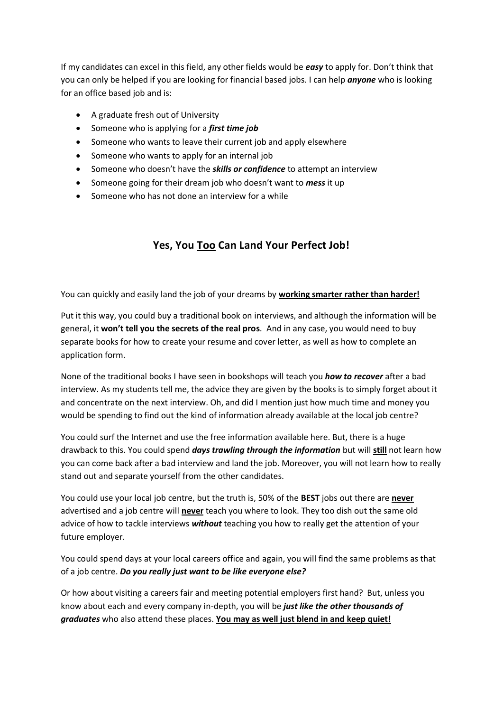If my candidates can excel in this field, any other fields would be *easy* to apply for. Don't think that you can only be helped if you are looking for financial based jobs. I can help *anyone* who is looking for an office based job and is:

- A graduate fresh out of University
- Someone who is applying for a *first time job*
- Someone who wants to leave their current job and apply elsewhere
- Someone who wants to apply for an internal job
- **Someone who doesn't have the** *skills or confidence* to attempt an interview
- Someone going for their dream job who doesn't want to *mess* it up
- Someone who has not done an interview for a while

# **Yes, You Too Can Land Your Perfect Job!**

You can quickly and easily land the job of your dreams by **working smarter rather than harder!** 

Put it this way, you could buy a traditional book on interviews, and although the information will be general, it **won't tell you the secrets of the real pros**. And in any case, you would need to buy separate books for how to create your resume and cover letter, as well as how to complete an application form.

None of the traditional books I have seen in bookshops will teach you *how to recover* after a bad interview. As my students tell me, the advice they are given by the books is to simply forget about it and concentrate on the next interview. Oh, and did I mention just how much time and money you would be spending to find out the kind of information already available at the local job centre?

You could surf the Internet and use the free information available here. But, there is a huge drawback to this. You could spend *days trawling through the information* but will **still** not learn how you can come back after a bad interview and land the job. Moreover, you will not learn how to really stand out and separate yourself from the other candidates.

You could use your local job centre, but the truth is, 50% of the **BEST** jobs out there are **never** advertised and a job centre will **never** teach you where to look. They too dish out the same old advice of how to tackle interviews *without* teaching you how to really get the attention of your future employer.

You could spend days at your local careers office and again, you will find the same problems as that of a job centre. *Do you really just want to be like everyone else?* 

Or how about visiting a careers fair and meeting potential employers first hand? But, unless you know about each and every company in-depth, you will be *just like the other thousands of graduates* who also attend these places. **You may as well just blend in and keep quiet!**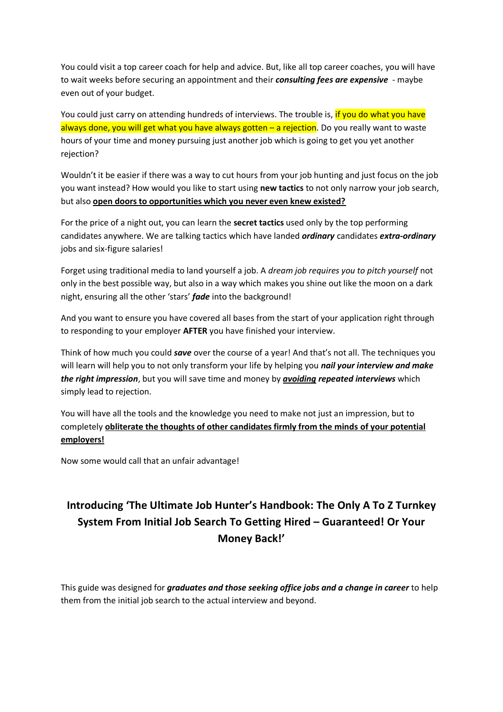You could visit a top career coach for help and advice. But, like all top career coaches, you will have to wait weeks before securing an appointment and their *consulting fees are expensive* - maybe even out of your budget.

You could just carry on attending hundreds of interviews. The trouble is, if you do what you have always done, you will get what you have always gotten  $-$  a rejection. Do you really want to waste hours of your time and money pursuing just another job which is going to get you yet another rejection?

Wouldn't it be easier if there was a way to cut hours from your job hunting and just focus on the job you want instead? How would you like to start using **new tactics** to not only narrow your job search, but also **open doors to opportunities which you never even knew existed?**

For the price of a night out, you can learn the **secret tactics** used only by the top performing candidates anywhere. We are talking tactics which have landed *ordinary* candidates *extra-ordinary* jobs and six-figure salaries!

Forget using traditional media to land yourself a job. A *dream job requires you to pitch yourself* not only in the best possible way, but also in a way which makes you shine out like the moon on a dark night, ensuring all the other 'stars' *fade* into the background!

And you want to ensure you have covered all bases from the start of your application right through to responding to your employer **AFTER** you have finished your interview.

Think of how much you could *save* over the course of a year! And that's not all. The techniques you will learn will help you to not only transform your life by helping you *nail your interview and make the right impression*, but you will save time and money by *avoiding repeated interviews* which simply lead to rejection.

You will have all the tools and the knowledge you need to make not just an impression, but to completely **obliterate the thoughts of other candidates firmly from the minds of your potential employers!**

Now some would call that an unfair advantage!

# **Introducing 'The Ultimate Job Hunter's Handbook: The Only A To Z Turnkey System From Initial Job Search To Getting Hired – Guaranteed! Or Your Money Back!'**

This guide was designed for *graduates and those seeking office jobs and a change in career* to help them from the initial job search to the actual interview and beyond.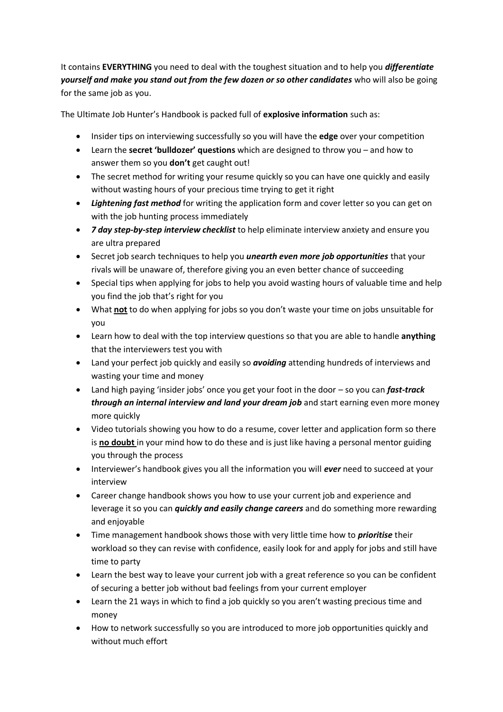It contains **EVERYTHING** you need to deal with the toughest situation and to help you *differentiate yourself and make you stand out from the few dozen or so other candidates* who will also be going for the same job as you.

The Ultimate Job Hunter's Handbook is packed full of **explosive information** such as:

- Insider tips on interviewing successfully so you will have the **edge** over your competition
- Learn the **secret 'bulldozer' questions** which are designed to throw you and how to answer them so you **don't** get caught out!
- The secret method for writing your resume quickly so you can have one quickly and easily without wasting hours of your precious time trying to get it right
- *Lightening fast method* for writing the application form and cover letter so you can get on with the job hunting process immediately
- *7 day step-by-step interview checklist* to help eliminate interview anxiety and ensure you are ultra prepared
- Secret job search techniques to help you *unearth even more job opportunities* that your rivals will be unaware of, therefore giving you an even better chance of succeeding
- Special tips when applying for jobs to help you avoid wasting hours of valuable time and help you find the job that's right for you
- What **not** to do when applying for jobs so you don't waste your time on jobs unsuitable for you
- Learn how to deal with the top interview questions so that you are able to handle **anything** that the interviewers test you with
- Land your perfect job quickly and easily so *avoiding* attending hundreds of interviews and wasting your time and money
- Land high paying 'insider jobs' once you get your foot in the door so you can *fast-track through an internal interview and land your dream job* and start earning even more money more quickly
- Video tutorials showing you how to do a resume, cover letter and application form so there is **no doubt** in your mind how to do these and is just like having a personal mentor guiding you through the process
- Interviewer's handbook gives you all the information you will *ever* need to succeed at your interview
- Career change handbook shows you how to use your current job and experience and leverage it so you can *quickly and easily change careers* and do something more rewarding and enjoyable
- Time management handbook shows those with very little time how to *prioritise* their workload so they can revise with confidence, easily look for and apply for jobs and still have time to party
- Learn the best way to leave your current job with a great reference so you can be confident of securing a better job without bad feelings from your current employer
- Learn the 21 ways in which to find a job quickly so you aren't wasting precious time and money
- How to network successfully so you are introduced to more job opportunities quickly and without much effort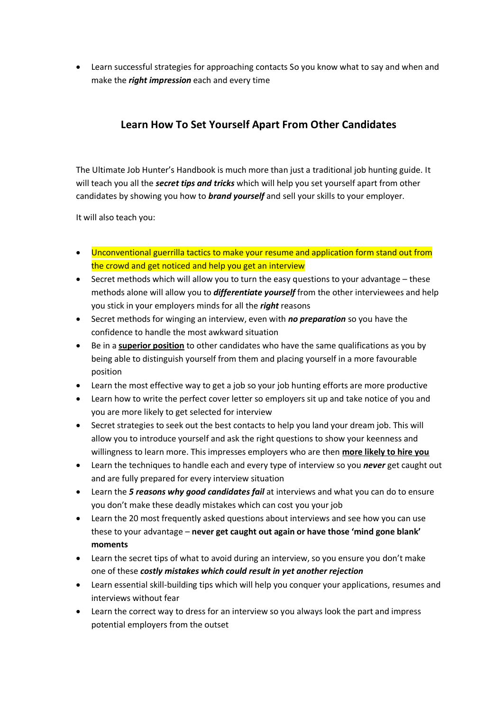Learn successful strategies for approaching contacts So you know what to say and when and make the *right impression* each and every time

## **Learn How To Set Yourself Apart From Other Candidates**

The Ultimate Job Hunter's Handbook is much more than just a traditional job hunting guide. It will teach you all the *secret tips and tricks* which will help you set yourself apart from other candidates by showing you how to *brand yourself* and sell your skills to your employer.

It will also teach you:

- Unconventional guerrilla tactics to make your resume and application form stand out from the crowd and get noticed and help you get an interview
- Secret methods which will allow you to turn the easy questions to your advantage these methods alone will allow you to *differentiate yourself* from the other interviewees and help you stick in your employers minds for all the *right* reasons
- Secret methods for winging an interview, even with *no preparation* so you have the confidence to handle the most awkward situation
- Be in a **superior position** to other candidates who have the same qualifications as you by being able to distinguish yourself from them and placing yourself in a more favourable position
- Learn the most effective way to get a job so your job hunting efforts are more productive
- Learn how to write the perfect cover letter so employers sit up and take notice of you and you are more likely to get selected for interview
- Secret strategies to seek out the best contacts to help you land your dream job. This will allow you to introduce yourself and ask the right questions to show your keenness and willingness to learn more. This impresses employers who are then **more likely to hire you**
- Learn the techniques to handle each and every type of interview so you *never* get caught out and are fully prepared for every interview situation
- Learn the *5 reasons why good candidates fail* at interviews and what you can do to ensure you don't make these deadly mistakes which can cost you your job
- Learn the 20 most frequently asked questions about interviews and see how you can use these to your advantage – **never get caught out again or have those 'mind gone blank' moments**
- Learn the secret tips of what to avoid during an interview, so you ensure you don't make one of these *costly mistakes which could result in yet another rejection*
- Learn essential skill-building tips which will help you conquer your applications, resumes and interviews without fear
- Learn the correct way to dress for an interview so you always look the part and impress potential employers from the outset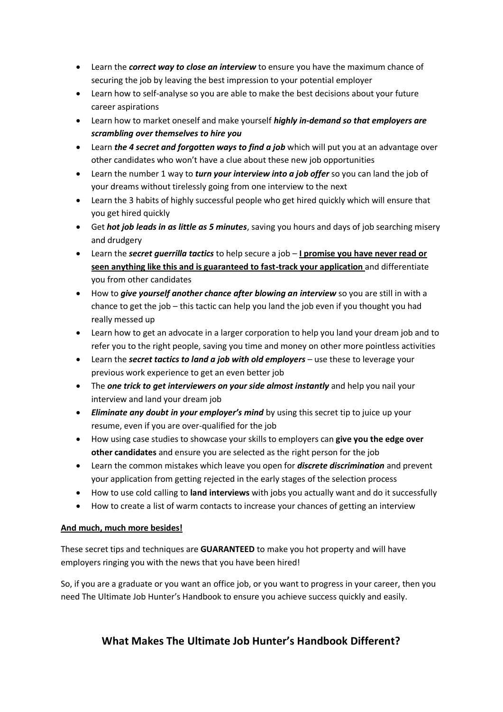- Learn the *correct way to close an interview* to ensure you have the maximum chance of securing the job by leaving the best impression to your potential employer
- Learn how to self-analyse so you are able to make the best decisions about your future career aspirations
- Learn how to market oneself and make yourself *highly in-demand so that employers are scrambling over themselves to hire you*
- Learn *the 4 secret and forgotten ways to find a job* which will put you at an advantage over other candidates who won't have a clue about these new job opportunities
- Learn the number 1 way to *turn your interview into a job offer* so you can land the job of your dreams without tirelessly going from one interview to the next
- Learn the 3 habits of highly successful people who get hired quickly which will ensure that you get hired quickly
- Get *hot job leads in as little as 5 minutes*, saving you hours and days of job searching misery and drudgery
- Learn the *secret guerrilla tactics* to help secure a job **I promise you have never read or seen anything like this and is guaranteed to fast-track your application** and differentiate you from other candidates
- How to *give yourself another chance after blowing an interview* so you are still in with a chance to get the job – this tactic can help you land the job even if you thought you had really messed up
- Learn how to get an advocate in a larger corporation to help you land your dream job and to refer you to the right people, saving you time and money on other more pointless activities
- Learn the *secret tactics to land a job with old employers* use these to leverage your previous work experience to get an even better job
- The *one trick to get interviewers on your side almost instantly* and help you nail your interview and land your dream job
- *Eliminate any doubt in your employer's mind* by using this secret tip to juice up your resume, even if you are over-qualified for the job
- How using case studies to showcase your skills to employers can **give you the edge over other candidates** and ensure you are selected as the right person for the job
- Learn the common mistakes which leave you open for *discrete discrimination* and prevent your application from getting rejected in the early stages of the selection process
- How to use cold calling to **land interviews** with jobs you actually want and do it successfully
- How to create a list of warm contacts to increase your chances of getting an interview

### **And much, much more besides!**

These secret tips and techniques are **GUARANTEED** to make you hot property and will have employers ringing you with the news that you have been hired!

So, if you are a graduate or you want an office job, or you want to progress in your career, then you need The Ultimate Job Hunter's Handbook to ensure you achieve success quickly and easily.

### **What Makes The Ultimate Job Hunter's Handbook Different?**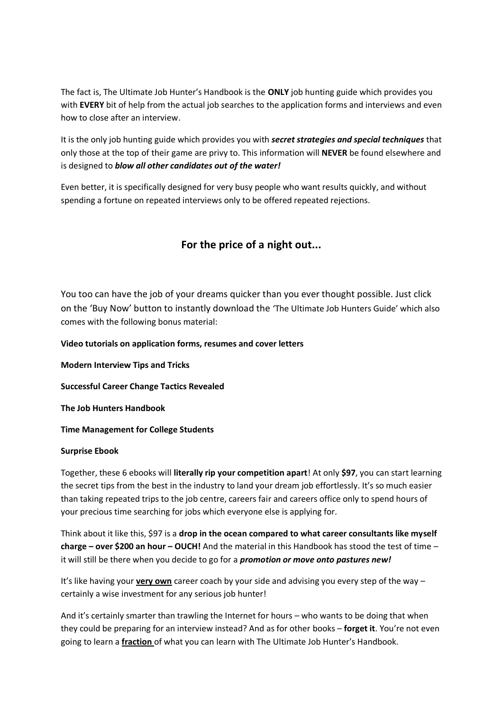The fact is, The Ultimate Job Hunter's Handbook is the **ONLY** job hunting guide which provides you with **EVERY** bit of help from the actual job searches to the application forms and interviews and even how to close after an interview.

It is the only job hunting guide which provides you with *secret strategies and special techniques* that only those at the top of their game are privy to. This information will **NEVER** be found elsewhere and is designed to *blow all other candidates out of the water!*

Even better, it is specifically designed for very busy people who want results quickly, and without spending a fortune on repeated interviews only to be offered repeated rejections.

### **For the price of a night out...**

You too can have the job of your dreams quicker than you ever thought possible. Just click on the 'Buy Now' button to instantly download the 'The Ultimate Job Hunters Guide' which also comes with the following bonus material:

### **Video tutorials on application forms, resumes and cover letters**

**Modern Interview Tips and Tricks**

**Successful Career Change Tactics Revealed**

**The Job Hunters Handbook**

**Time Management for College Students**

### **Surprise Ebook**

Together, these 6 ebooks will **literally rip your competition apart**! At only **\$97**, you can start learning the secret tips from the best in the industry to land your dream job effortlessly. It's so much easier than taking repeated trips to the job centre, careers fair and careers office only to spend hours of your precious time searching for jobs which everyone else is applying for.

Think about it like this, \$97 is a **drop in the ocean compared to what career consultants like myself charge – over \$200 an hour – OUCH!** And the material in this Handbook has stood the test of time – it will still be there when you decide to go for a *promotion or move onto pastures new!* 

It's like having your **very own** career coach by your side and advising you every step of the way – certainly a wise investment for any serious job hunter!

And it's certainly smarter than trawling the Internet for hours – who wants to be doing that when they could be preparing for an interview instead? And as for other books – **forget it**. You're not even going to learn a **fraction** of what you can learn with The Ultimate Job Hunter's Handbook.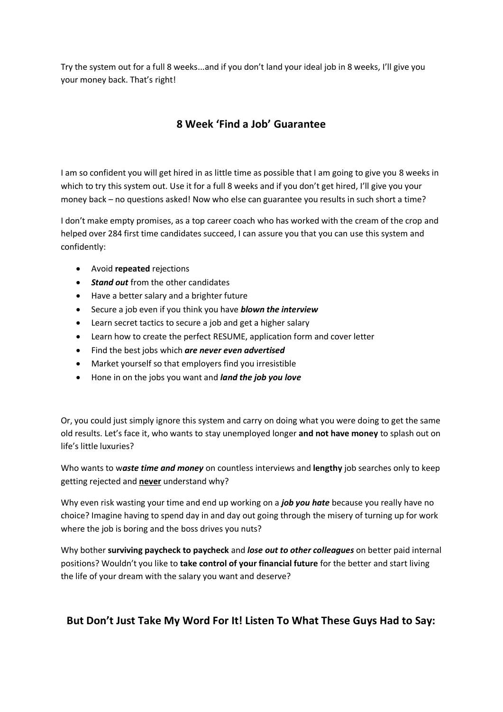Try the system out for a full 8 weeks...and if you don't land your ideal job in 8 weeks, I'll give you your money back. That's right!

### **8 Week 'Find a Job' Guarantee**

I am so confident you will get hired in as little time as possible that I am going to give you 8 weeks in which to try this system out. Use it for a full 8 weeks and if you don't get hired, I'll give you your money back – no questions asked! Now who else can guarantee you results in such short a time?

I don't make empty promises, as a top career coach who has worked with the cream of the crop and helped over 284 first time candidates succeed, I can assure you that you can use this system and confidently:

- Avoid **repeated** rejections
- *Stand out* from the other candidates
- Have a better salary and a brighter future
- Secure a job even if you think you have *blown the interview*
- Learn secret tactics to secure a job and get a higher salary
- Learn how to create the perfect RESUME, application form and cover letter
- Find the best jobs which *are never even advertised*
- Market yourself so that employers find you irresistible
- Hone in on the jobs you want and *land the job you love*

Or, you could just simply ignore this system and carry on doing what you were doing to get the same old results. Let's face it, who wants to stay unemployed longer **and not have money** to splash out on life's little luxuries?

Who wants to w*aste time and money* on countless interviews and **lengthy** job searches only to keep getting rejected and **never** understand why?

Why even risk wasting your time and end up working on a *job you hate* because you really have no choice? Imagine having to spend day in and day out going through the misery of turning up for work where the job is boring and the boss drives you nuts?

Why bother **surviving paycheck to paycheck** and *lose out to other colleagues* on better paid internal positions? Wouldn't you like to **take control of your financial future** for the better and start living the life of your dream with the salary you want and deserve?

### **But Don't Just Take My Word For It! Listen To What These Guys Had to Say:**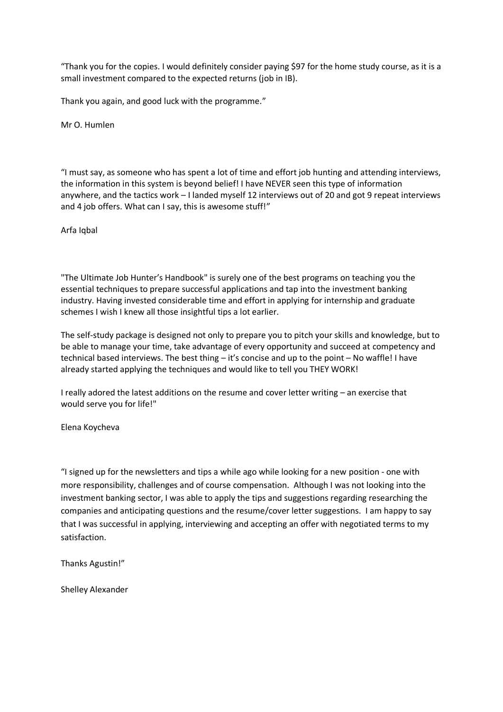"Thank you for the copies. I would definitely consider paying \$97 for the home study course, as it is a small investment compared to the expected returns (job in IB).

Thank you again, and good luck with the programme."

Mr O. Humlen

"I must say, as someone who has spent a lot of time and effort job hunting and attending interviews, the information in this system is beyond belief! I have NEVER seen this type of information anywhere, and the tactics work – I landed myself 12 interviews out of 20 and got 9 repeat interviews and 4 job offers. What can I say, this is awesome stuff!"

Arfa Iqbal

"The Ultimate Job Hunter's Handbook" is surely one of the best programs on teaching you the essential techniques to prepare successful applications and tap into the investment banking industry. Having invested considerable time and effort in applying for internship and graduate schemes I wish I knew all those insightful tips a lot earlier.

The self-study package is designed not only to prepare you to pitch your skills and knowledge, but to be able to manage your time, take advantage of every opportunity and succeed at competency and technical based interviews. The best thing – it's concise and up to the point – No waffle! I have already started applying the techniques and would like to tell you THEY WORK!

I really adored the latest additions on the resume and cover letter writing – an exercise that would serve you for life!"

Elena Koycheva

"I signed up for the newsletters and tips a while ago while looking for a new position - one with more responsibility, challenges and of course compensation. Although I was not looking into the investment banking sector, I was able to apply the tips and suggestions regarding researching the companies and anticipating questions and the resume/cover letter suggestions. I am happy to say that I was successful in applying, interviewing and accepting an offer with negotiated terms to my satisfaction.

Thanks Agustin!"

Shelley Alexander